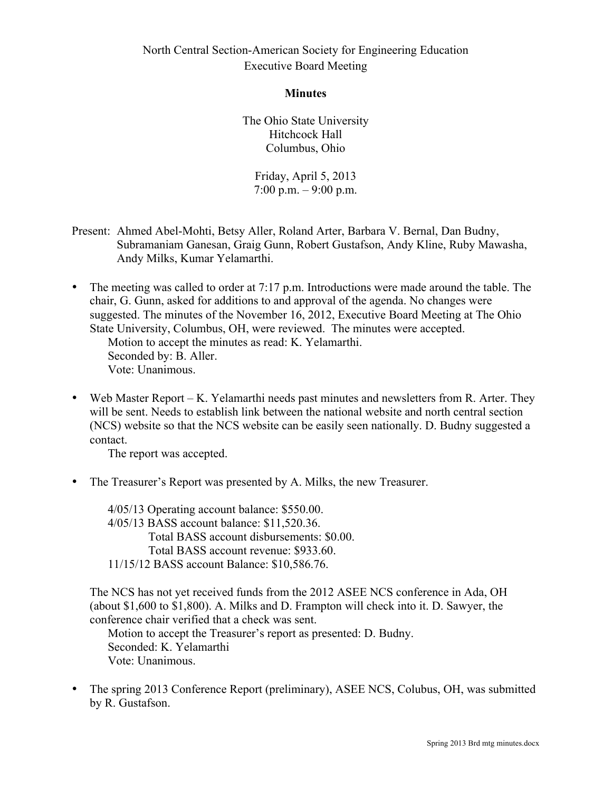#### **Minutes**

The Ohio State University Hitchcock Hall Columbus, Ohio

Friday, April 5, 2013  $7:00 \text{ p.m.} - 9:00 \text{ p.m.}$ 

- Present: Ahmed Abel-Mohti, Betsy Aller, Roland Arter, Barbara V. Bernal, Dan Budny, Subramaniam Ganesan, Graig Gunn, Robert Gustafson, Andy Kline, Ruby Mawasha, Andy Milks, Kumar Yelamarthi.
- The meeting was called to order at 7:17 p.m. Introductions were made around the table. The chair, G. Gunn, asked for additions to and approval of the agenda. No changes were suggested. The minutes of the November 16, 2012, Executive Board Meeting at The Ohio State University, Columbus, OH, were reviewed. The minutes were accepted. Motion to accept the minutes as read: K. Yelamarthi. Seconded by: B. Aller.

Vote: Unanimous.

• Web Master Report – K. Yelamarthi needs past minutes and newsletters from R. Arter. They will be sent. Needs to establish link between the national website and north central section (NCS) website so that the NCS website can be easily seen nationally. D. Budny suggested a contact.

The report was accepted.

• The Treasurer's Report was presented by A. Milks, the new Treasurer.

4/05/13 Operating account balance: \$550.00. 4/05/13 BASS account balance: \$11,520.36. Total BASS account disbursements: \$0.00. Total BASS account revenue: \$933.60. 11/15/12 BASS account Balance: \$10,586.76.

The NCS has not yet received funds from the 2012 ASEE NCS conference in Ada, OH (about \$1,600 to \$1,800). A. Milks and D. Frampton will check into it. D. Sawyer, the conference chair verified that a check was sent.

Motion to accept the Treasurer's report as presented: D. Budny. Seconded: K. Yelamarthi Vote: Unanimous.

• The spring 2013 Conference Report (preliminary), ASEE NCS, Colubus, OH, was submitted by R. Gustafson.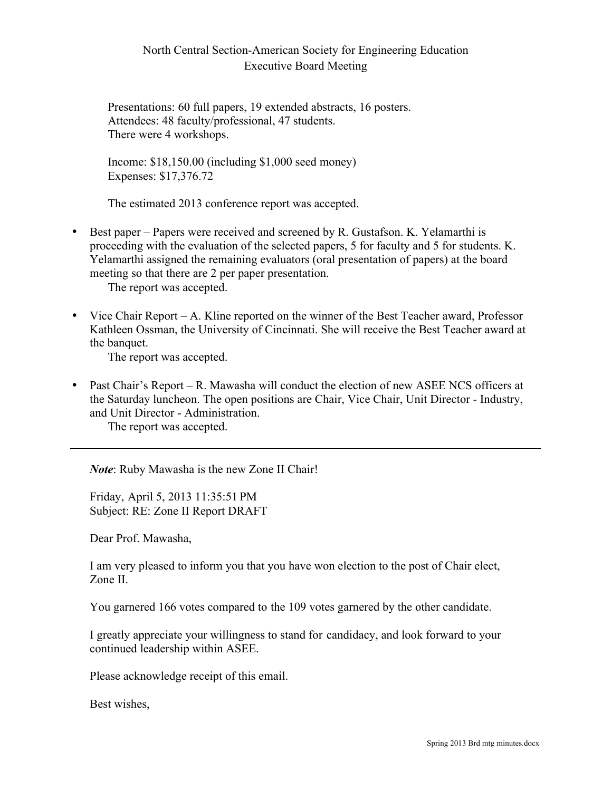Presentations: 60 full papers, 19 extended abstracts, 16 posters. Attendees: 48 faculty/professional, 47 students. There were 4 workshops.

Income: \$18,150.00 (including \$1,000 seed money) Expenses: \$17,376.72

The estimated 2013 conference report was accepted.

• Best paper – Papers were received and screened by R. Gustafson. K. Yelamarthi is proceeding with the evaluation of the selected papers, 5 for faculty and 5 for students. K. Yelamarthi assigned the remaining evaluators (oral presentation of papers) at the board meeting so that there are 2 per paper presentation.

The report was accepted.

• Vice Chair Report – A. Kline reported on the winner of the Best Teacher award, Professor Kathleen Ossman, the University of Cincinnati. She will receive the Best Teacher award at the banquet.

The report was accepted.

• Past Chair's Report – R. Mawasha will conduct the election of new ASEE NCS officers at the Saturday luncheon. The open positions are Chair, Vice Chair, Unit Director - Industry, and Unit Director - Administration.

The report was accepted.

*Note*: Ruby Mawasha is the new Zone II Chair!

Friday, April 5, 2013 11:35:51 PM Subject: RE: Zone II Report DRAFT

Dear Prof. Mawasha,

I am very pleased to inform you that you have won election to the post of Chair elect, Zone II.

You garnered 166 votes compared to the 109 votes garnered by the other candidate.

I greatly appreciate your willingness to stand for candidacy, and look forward to your continued leadership within ASEE.

Please acknowledge receipt of this email.

Best wishes,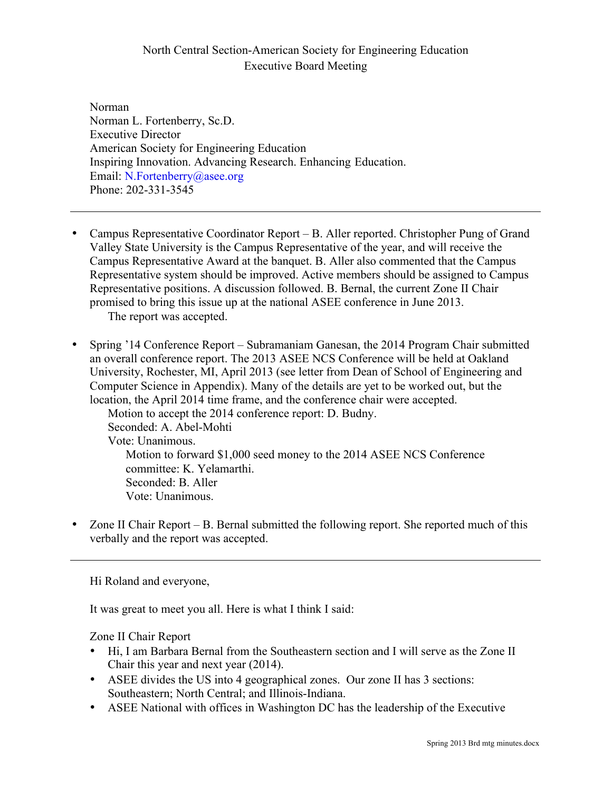Norman Norman L. Fortenberry, Sc.D. Executive Director American Society for Engineering Education Inspiring Innovation. Advancing Research. Enhancing Education. Email: N.Fortenberry@asee.org Phone: 202-331-3545

- Campus Representative Coordinator Report B. Aller reported. Christopher Pung of Grand Valley State University is the Campus Representative of the year, and will receive the Campus Representative Award at the banquet. B. Aller also commented that the Campus Representative system should be improved. Active members should be assigned to Campus Representative positions. A discussion followed. B. Bernal, the current Zone II Chair promised to bring this issue up at the national ASEE conference in June 2013. The report was accepted.
- Spring '14 Conference Report Subramaniam Ganesan, the 2014 Program Chair submitted an overall conference report. The 2013 ASEE NCS Conference will be held at Oakland University, Rochester, MI, April 2013 (see letter from Dean of School of Engineering and Computer Science in Appendix). Many of the details are yet to be worked out, but the location, the April 2014 time frame, and the conference chair were accepted. Motion to accept the 2014 conference report: D. Budny. Seconded: A. Abel-Mohti Vote: Unanimous. Motion to forward \$1,000 seed money to the 2014 ASEE NCS Conference committee: K. Yelamarthi. Seconded: B. Aller Vote: Unanimous.
- Zone II Chair Report B. Bernal submitted the following report. She reported much of this verbally and the report was accepted.

Hi Roland and everyone,

It was great to meet you all. Here is what I think I said:

Zone II Chair Report

- Hi, I am Barbara Bernal from the Southeastern section and I will serve as the Zone II Chair this year and next year (2014).
- ASEE divides the US into 4 geographical zones. Our zone II has 3 sections: Southeastern; North Central; and Illinois-Indiana.
- ASEE National with offices in Washington DC has the leadership of the Executive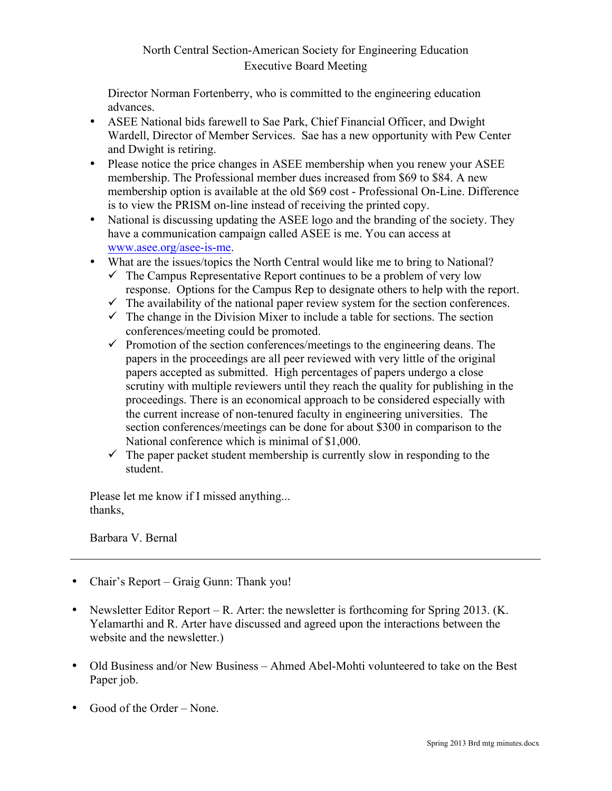Director Norman Fortenberry, who is committed to the engineering education advances.

- ASEE National bids farewell to Sae Park, Chief Financial Officer, and Dwight Wardell, Director of Member Services. Sae has a new opportunity with Pew Center and Dwight is retiring.
- Please notice the price changes in ASEE membership when you renew your ASEE membership. The Professional member dues increased from \$69 to \$84. A new membership option is available at the old \$69 cost - Professional On-Line. Difference is to view the PRISM on-line instead of receiving the printed copy.
- National is discussing updating the ASEE logo and the branding of the society. They have a communication campaign called ASEE is me. You can access at www.asee.org/asee-is-me.
- What are the issues/topics the North Central would like me to bring to National?
	- $\checkmark$  The Campus Representative Report continues to be a problem of very low response. Options for the Campus Rep to designate others to help with the report.
	- $\checkmark$  The availability of the national paper review system for the section conferences.
	- $\checkmark$  The change in the Division Mixer to include a table for sections. The section conferences/meeting could be promoted.
	- $\checkmark$  Promotion of the section conferences/meetings to the engineering deans. The papers in the proceedings are all peer reviewed with very little of the original papers accepted as submitted. High percentages of papers undergo a close scrutiny with multiple reviewers until they reach the quality for publishing in the proceedings. There is an economical approach to be considered especially with the current increase of non-tenured faculty in engineering universities. The section conferences/meetings can be done for about \$300 in comparison to the National conference which is minimal of \$1,000.
	- $\checkmark$  The paper packet student membership is currently slow in responding to the student.

Please let me know if I missed anything... thanks,

Barbara V. Bernal

- Chair's Report Graig Gunn: Thank you!
- Newsletter Editor Report R. Arter: the newsletter is forthcoming for Spring 2013. (K. Yelamarthi and R. Arter have discussed and agreed upon the interactions between the website and the newsletter.)
- Old Business and/or New Business Ahmed Abel-Mohti volunteered to take on the Best Paper job.
- Good of the Order None.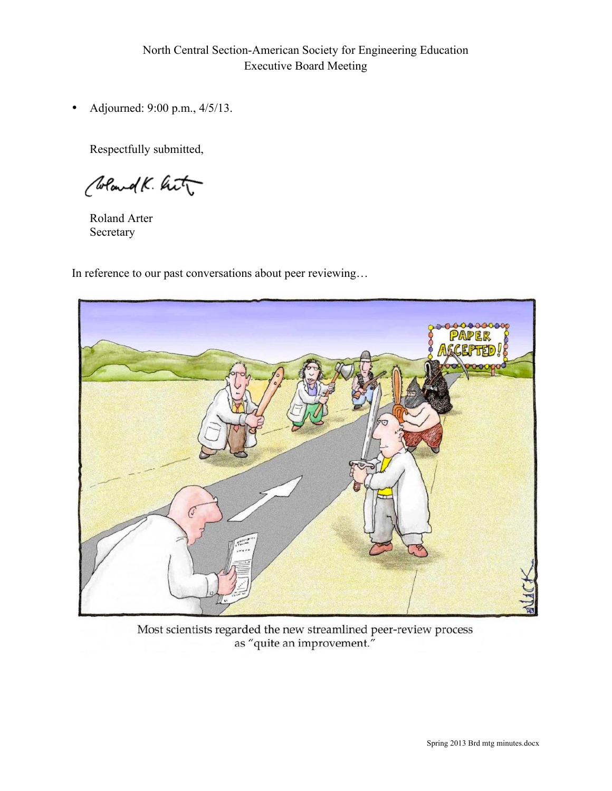• Adjourned: 9:00 p.m., 4/5/13.

Respectfully submitted,

Clockand K. hit

Roland Arter Secretary

In reference to our past conversations about peer reviewing…



Most scientists regarded the new streamlined peer-review process as "quite an improvement."